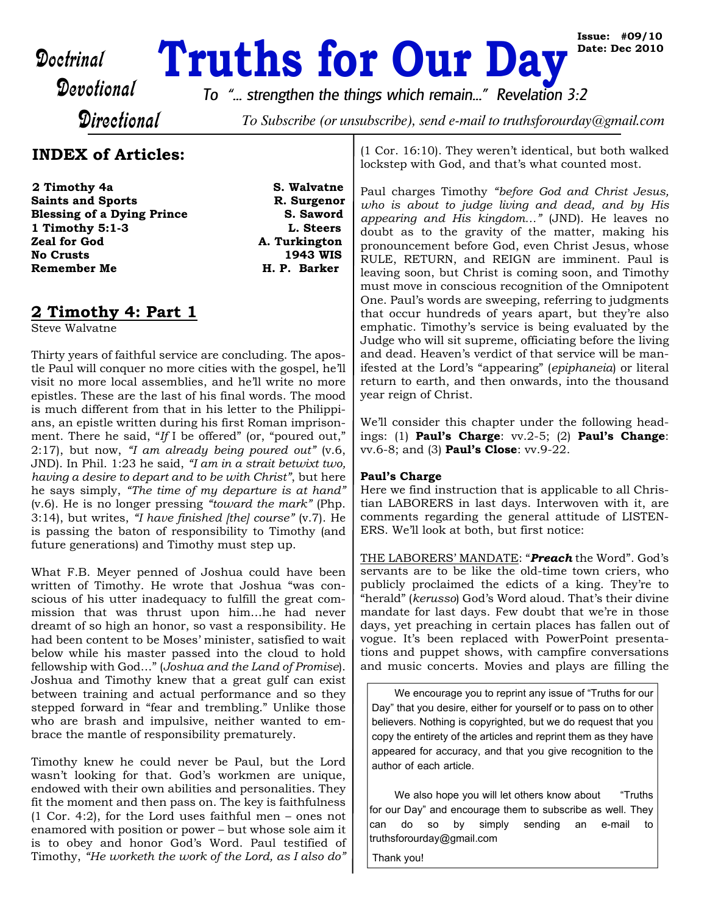# Doctrinal **Truths for Our Day**<br>Devotional To "... strengthen the things which ramain " Povolation

**Issue: #09/10 Date: Dec 2010**

*To "... strengthen the things which remain..." Revelation 3:2*

**Directional** 

To Subscribe (or unsubscribe), send e-mail to truthsforourday@gmail.com

# **INDEX of Articles:**

**2 Timothy 4a S. Walvatne Saints and Sports R. Surgenor Blessing of a Dying Prince S. Saword 1 Timothy 5:1-3** L. Steers **1 Timothy 5:1-3 Zeal for God A. Turkington**<br> **No Crusts** (1943 WIS **Remember Me H. P. Barker** 

**1943 WIS** 

# **2 Timothy 4: Part 1**

Steve Walvatne

Thirty years of faithful service are concluding. The apostle Paul will conquer no more cities with the gospel, he'll visit no more local assemblies, and he'll write no more epistles. These are the last of his final words. The mood is much different from that in his letter to the Philippians, an epistle written during his first Roman imprisonment. There he said, "*If* I be offered" (or, "poured out," 2:17), but now, *"I am already being poured out"* (v.6, JND). In Phil. 1:23 he said, *"I am in a strait betwixt two, having a desire to depart and to be with Christ"*, but here he says simply, *"The time of my departure is at hand"* (v.6). He is no longer pressing *"toward the mark"* (Php. 3:14), but writes, *"I have finished [the] course"* (v.7). He is passing the baton of responsibility to Timothy (and future generations) and Timothy must step up.

What F.B. Meyer penned of Joshua could have been written of Timothy. He wrote that Joshua "was conscious of his utter inadequacy to fulfill the great commission that was thrust upon him…he had never dreamt of so high an honor, so vast a responsibility. He had been content to be Moses' minister, satisfied to wait below while his master passed into the cloud to hold fellowship with God…" (*Joshua and the Land of Promise*). Joshua and Timothy knew that a great gulf can exist between training and actual performance and so they stepped forward in "fear and trembling." Unlike those who are brash and impulsive, neither wanted to embrace the mantle of responsibility prematurely.

Timothy knew he could never be Paul, but the Lord wasn't looking for that. God's workmen are unique, endowed with their own abilities and personalities. They fit the moment and then pass on. The key is faithfulness (1 Cor. 4:2), for the Lord uses faithful men – ones not enamored with position or power – but whose sole aim it is to obey and honor God's Word. Paul testified of Timothy, *"He worketh the work of the Lord, as I also do"*

(1 Cor. 16:10). They weren't identical, but both walked lockstep with God, and that's what counted most.

Paul charges Timothy *"before God and Christ Jesus, who is about to judge living and dead, and by His appearing and His kingdom…"* (JND). He leaves no doubt as to the gravity of the matter, making his pronouncement before God, even Christ Jesus, whose RULE, RETURN, and REIGN are imminent. Paul is leaving soon, but Christ is coming soon, and Timothy must move in conscious recognition of the Omnipotent One. Paul's words are sweeping, referring to judgments that occur hundreds of years apart, but they're also emphatic. Timothy's service is being evaluated by the Judge who will sit supreme, officiating before the living and dead. Heaven's verdict of that service will be manifested at the Lord's "appearing" (*epiphaneia*) or literal return to earth, and then onwards, into the thousand year reign of Christ.

We'll consider this chapter under the following headings: (1) **Paul's Charge**: vv.2-5; (2) **Paul's Change**: vv.6-8; and (3) **Paul's Close**: vv.9-22.

## **Paul's Charge**

Here we find instruction that is applicable to all Christian LABORERS in last days. Interwoven with it, are comments regarding the general attitude of LISTEN-ERS. We'll look at both, but first notice:

THE LABORERS' MANDATE: "*Preach* the Word". God's servants are to be like the old-time town criers, who publicly proclaimed the edicts of a king. They're to "herald" (*kerusso*) God's Word aloud. That's their divine mandate for last days. Few doubt that we're in those days, yet preaching in certain places has fallen out of vogue. It's been replaced with PowerPoint presentations and puppet shows, with campfire conversations and music concerts. Movies and plays are filling the

We encourage you to reprint any issue of "Truths for our Day" that you desire, either for yourself or to pass on to other believers. Nothing is copyrighted, but we do request that you copy the entirety of the articles and reprint them as they have appeared for accuracy, and that you give recognition to the author of each article.

We also hope you will let others know about "Truths" for our Day" and encourage them to subscribe as well. They can do so by simply sending an e-mail to truthsforourday@gmail.com

Thank you!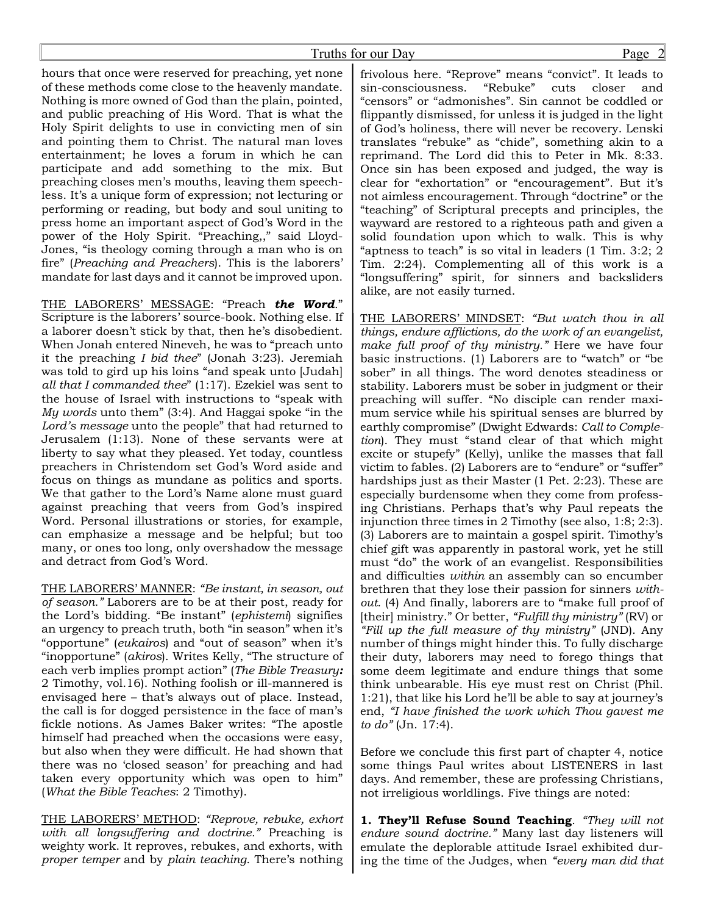hours that once were reserved for preaching, yet none of these methods come close to the heavenly mandate. Nothing is more owned of God than the plain, pointed, and public preaching of His Word. That is what the Holy Spirit delights to use in convicting men of sin and pointing them to Christ. The natural man loves entertainment; he loves a forum in which he can participate and add something to the mix. But preaching closes men's mouths, leaving them speechless. It's a unique form of expression; not lecturing or performing or reading, but body and soul uniting to press home an important aspect of God's Word in the power of the Holy Spirit. "Preaching,," said Lloyd-Jones, "is theology coming through a man who is on fire" (*Preaching and Preachers*). This is the laborers' mandate for last days and it cannot be improved upon.

THE LABORERS' MESSAGE: "Preach *the Word*." Scripture is the laborers' source-book. Nothing else. If a laborer doesn't stick by that, then he's disobedient. When Jonah entered Nineveh, he was to "preach unto it the preaching *I bid thee*" (Jonah 3:23). Jeremiah was told to gird up his loins "and speak unto [Judah] *all that I commanded thee*" (1:17). Ezekiel was sent to the house of Israel with instructions to "speak with *My words* unto them" (3:4). And Haggai spoke "in the *Lord's message* unto the people" that had returned to Jerusalem (1:13). None of these servants were at liberty to say what they pleased. Yet today, countless preachers in Christendom set God's Word aside and focus on things as mundane as politics and sports. We that gather to the Lord's Name alone must guard against preaching that veers from God's inspired Word. Personal illustrations or stories, for example, can emphasize a message and be helpful; but too many, or ones too long, only overshadow the message and detract from God's Word.

THE LABORERS' MANNER: *"Be instant, in season, out of season."* Laborers are to be at their post, ready for the Lord's bidding. "Be instant" (*ephistemi*) signifies an urgency to preach truth, both "in season" when it's "opportune" (*eukairos*) and "out of season" when it's "inopportune" (*akiros*). Writes Kelly, "The structure of each verb implies prompt action" (*The Bible Treasury:* 2 Timothy, vol.16). Nothing foolish or ill-mannered is envisaged here – that's always out of place. Instead, the call is for dogged persistence in the face of man's fickle notions. As James Baker writes: "The apostle himself had preached when the occasions were easy, but also when they were difficult. He had shown that there was no 'closed season' for preaching and had taken every opportunity which was open to him" (*What the Bible Teaches*: 2 Timothy).

THE LABORERS' METHOD: *"Reprove, rebuke, exhort with all longsuffering and doctrine."* Preaching is weighty work. It reproves, rebukes, and exhorts, with *proper temper* and by *plain teaching*. There's nothing frivolous here. "Reprove" means "convict". It leads to sin-consciousness. "Rebuke" cuts closer and "censors" or "admonishes". Sin cannot be coddled or flippantly dismissed, for unless it is judged in the light of God's holiness, there will never be recovery. Lenski translates "rebuke" as "chide", something akin to a reprimand. The Lord did this to Peter in Mk. 8:33. Once sin has been exposed and judged, the way is clear for "exhortation" or "encouragement". But it's not aimless encouragement. Through "doctrine" or the "teaching" of Scriptural precepts and principles, the wayward are restored to a righteous path and given a solid foundation upon which to walk. This is why "aptness to teach" is so vital in leaders (1 Tim. 3:2; 2 Tim. 2:24). Complementing all of this work is a "longsuffering" spirit, for sinners and backsliders alike, are not easily turned.

THE LABORERS' MINDSET: *"But watch thou in all things, endure afflictions, do the work of an evangelist, make full proof of thy ministry."* Here we have four basic instructions. (1) Laborers are to "watch" or "be sober" in all things. The word denotes steadiness or stability. Laborers must be sober in judgment or their preaching will suffer. "No disciple can render maximum service while his spiritual senses are blurred by earthly compromise" (Dwight Edwards: *Call to Completion*). They must "stand clear of that which might excite or stupefy" (Kelly), unlike the masses that fall victim to fables. (2) Laborers are to "endure" or "suffer" hardships just as their Master (1 Pet. 2:23). These are especially burdensome when they come from professing Christians. Perhaps that's why Paul repeats the injunction three times in 2 Timothy (see also, 1:8; 2:3). (3) Laborers are to maintain a gospel spirit. Timothy's chief gift was apparently in pastoral work, yet he still must "do" the work of an evangelist. Responsibilities and difficulties *within* an assembly can so encumber brethren that they lose their passion for sinners *without*. (4) And finally, laborers are to "make full proof of [their] ministry." Or better, *"Fulfill thy ministry"* (RV) or *"Fill up the full measure of thy ministry"* (JND). Any number of things might hinder this. To fully discharge their duty, laborers may need to forego things that some deem legitimate and endure things that some think unbearable. His eye must rest on Christ (Phil. 1:21), that like his Lord he'll be able to say at journey's end, *"I have finished the work which Thou gavest me to do"* (Jn. 17:4).

Before we conclude this first part of chapter 4, notice some things Paul writes about LISTENERS in last days. And remember, these are professing Christians, not irreligious worldlings. Five things are noted:

**1. They'll Refuse Sound Teaching**. *"They will not endure sound doctrine."* Many last day listeners will emulate the deplorable attitude Israel exhibited during the time of the Judges, when *"every man did that*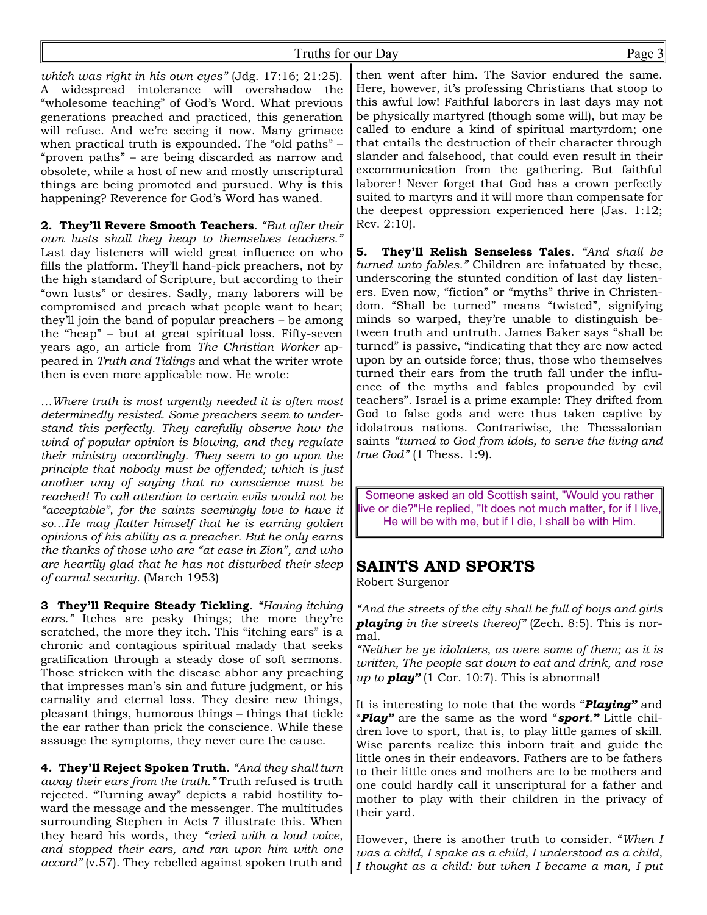*which was right in his own eyes"* (Jdg. 17:16; 21:25). A widespread intolerance will overshadow the "wholesome teaching" of God's Word. What previous generations preached and practiced, this generation will refuse. And we're seeing it now. Many grimace when practical truth is expounded. The "old paths" – "proven paths" – are being discarded as narrow and obsolete, while a host of new and mostly unscriptural things are being promoted and pursued. Why is this happening? Reverence for God's Word has waned.

**2. They'll Revere Smooth Teachers**. *"But after their own lusts shall they heap to themselves teachers."* Last day listeners will wield great influence on who fills the platform. They'll hand-pick preachers, not by the high standard of Scripture, but according to their "own lusts" or desires. Sadly, many laborers will be compromised and preach what people want to hear; they'll join the band of popular preachers – be among the "heap" – but at great spiritual loss. Fifty-seven years ago, an article from *The Christian Worker* appeared in *Truth and Tidings* and what the writer wrote then is even more applicable now. He wrote:

*…Where truth is most urgently needed it is often most determinedly resisted. Some preachers seem to understand this perfectly. They carefully observe how the wind of popular opinion is blowing, and they regulate their ministry accordingly. They seem to go upon the principle that nobody must be offended; which is just another way of saying that no conscience must be reached! To call attention to certain evils would not be "acceptable", for the saints seemingly love to have it so…He may flatter himself that he is earning golden opinions of his ability as a preacher. But he only earns the thanks of those who are "at ease in Zion", and who are heartily glad that he has not disturbed their sleep of carnal security.* (March 1953)

**3 They'll Require Steady Tickling**. *"Having itching ears."* Itches are pesky things; the more they're scratched, the more they itch. This "itching ears" is a chronic and contagious spiritual malady that seeks gratification through a steady dose of soft sermons. Those stricken with the disease abhor any preaching that impresses man's sin and future judgment, or his carnality and eternal loss. They desire new things, pleasant things, humorous things – things that tickle the ear rather than prick the conscience. While these assuage the symptoms, they never cure the cause.

**4. They'll Reject Spoken Truth**. *"And they shall turn away their ears from the truth."* Truth refused is truth rejected. "Turning away" depicts a rabid hostility toward the message and the messenger. The multitudes surrounding Stephen in Acts 7 illustrate this. When they heard his words, they *"cried with a loud voice, and stopped their ears, and ran upon him with one accord"* (v.57). They rebelled against spoken truth and

then went after him. The Savior endured the same. Here, however, it's professing Christians that stoop to this awful low! Faithful laborers in last days may not be physically martyred (though some will), but may be called to endure a kind of spiritual martyrdom; one that entails the destruction of their character through slander and falsehood, that could even result in their excommunication from the gathering. But faithful laborer! Never forget that God has a crown perfectly suited to martyrs and it will more than compensate for the deepest oppression experienced here (Jas. 1:12; Rev. 2:10).

**5. They'll Relish Senseless Tales**. *"And shall be turned unto fables."* Children are infatuated by these, underscoring the stunted condition of last day listeners. Even now, "fiction" or "myths" thrive in Christendom. "Shall be turned" means "twisted", signifying minds so warped, they're unable to distinguish between truth and untruth. James Baker says "shall be turned" is passive, "indicating that they are now acted upon by an outside force; thus, those who themselves turned their ears from the truth fall under the influence of the myths and fables propounded by evil teachers". Israel is a prime example: They drifted from God to false gods and were thus taken captive by idolatrous nations. Contrariwise, the Thessalonian saints *"turned to God from idols, to serve the living and true God"* (1 Thess. 1:9).

Someone asked an old Scottish saint, "Would you rather live or die?"He replied, "It does not much matter, for if I live, He will be with me, but if I die, I shall be with Him.

# **SAINTS AND SPORTS**

Robert Surgenor

*"And the streets of the city shall be full of boys and girls playing in the streets thereof"* (Zech. 8:5). This is normal.

*"Neither be ye idolaters, as were some of them; as it is written, The people sat down to eat and drink, and rose up to play"* (1 Cor. 10:7). This is abnormal!

It is interesting to note that the words "*Playing"* and "*Play"* are the same as the word "*sport."* Little children love to sport, that is, to play little games of skill. Wise parents realize this inborn trait and guide the little ones in their endeavors. Fathers are to be fathers to their little ones and mothers are to be mothers and one could hardly call it unscriptural for a father and mother to play with their children in the privacy of their yard.

However, there is another truth to consider. "*When I was a child, I spake as a child, I understood as a child, I thought as a child: but when I became a man, I put*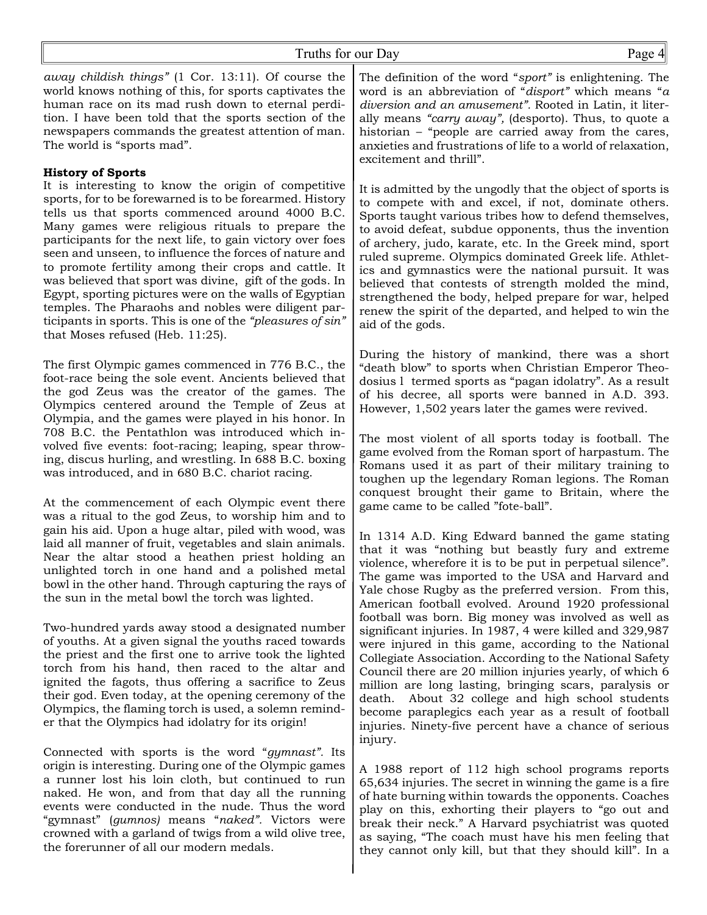*away childish things"* (1 Cor. 13:11). Of course the world knows nothing of this, for sports captivates the human race on its mad rush down to eternal perdition. I have been told that the sports section of the newspapers commands the greatest attention of man. The world is "sports mad".

### **History of Sports**

It is interesting to know the origin of competitive sports, for to be forewarned is to be forearmed. History tells us that sports commenced around 4000 B.C. Many games were religious rituals to prepare the participants for the next life, to gain victory over foes seen and unseen, to influence the forces of nature and to promote fertility among their crops and cattle. It was believed that sport was divine, gift of the gods. In Egypt, sporting pictures were on the walls of Egyptian temples. The Pharaohs and nobles were diligent participants in sports. This is one of the *"pleasures of sin"* that Moses refused (Heb. 11:25).

The first Olympic games commenced in 776 B.C., the foot-race being the sole event. Ancients believed that the god Zeus was the creator of the games. The Olympics centered around the Temple of Zeus at Olympia, and the games were played in his honor. In 708 B.C. the Pentathlon was introduced which involved five events: foot-racing; leaping, spear throwing, discus hurling, and wrestling. In 688 B.C. boxing was introduced, and in 680 B.C. chariot racing.

At the commencement of each Olympic event there was a ritual to the god Zeus, to worship him and to gain his aid. Upon a huge altar, piled with wood, was laid all manner of fruit, vegetables and slain animals. Near the altar stood a heathen priest holding an unlighted torch in one hand and a polished metal bowl in the other hand. Through capturing the rays of the sun in the metal bowl the torch was lighted.

Two-hundred yards away stood a designated number of youths. At a given signal the youths raced towards the priest and the first one to arrive took the lighted torch from his hand, then raced to the altar and ignited the fagots, thus offering a sacrifice to Zeus their god. Even today, at the opening ceremony of the Olympics, the flaming torch is used, a solemn reminder that the Olympics had idolatry for its origin!

Connected with sports is the word "*gymnast".* Its origin is interesting. During one of the Olympic games a runner lost his loin cloth, but continued to run naked. He won, and from that day all the running events were conducted in the nude. Thus the word "gymnast" (*gumnos)* means "*naked".* Victors were crowned with a garland of twigs from a wild olive tree, the forerunner of all our modern medals.

The definition of the word "*sport"* is enlightening. The word is an abbreviation of "*disport"* which means "*a diversion and an amusement".* Rooted in Latin, it literally means *"carry away",* (desporto). Thus, to quote a historian – "people are carried away from the cares, anxieties and frustrations of life to a world of relaxation, excitement and thrill".

It is admitted by the ungodly that the object of sports is to compete with and excel, if not, dominate others. Sports taught various tribes how to defend themselves, to avoid defeat, subdue opponents, thus the invention of archery, judo, karate, etc. In the Greek mind, sport ruled supreme. Olympics dominated Greek life. Athletics and gymnastics were the national pursuit. It was believed that contests of strength molded the mind, strengthened the body, helped prepare for war, helped renew the spirit of the departed, and helped to win the aid of the gods.

During the history of mankind, there was a short "death blow" to sports when Christian Emperor Theodosius l termed sports as "pagan idolatry". As a result of his decree, all sports were banned in A.D. 393. However, 1,502 years later the games were revived.

The most violent of all sports today is football. The game evolved from the Roman sport of harpastum. The Romans used it as part of their military training to toughen up the legendary Roman legions. The Roman conquest brought their game to Britain, where the game came to be called "fote-ball".

In 1314 A.D. King Edward banned the game stating that it was "nothing but beastly fury and extreme violence, wherefore it is to be put in perpetual silence". The game was imported to the USA and Harvard and Yale chose Rugby as the preferred version. From this, American football evolved. Around 1920 professional football was born. Big money was involved as well as significant injuries. In 1987, 4 were killed and 329,987 were injured in this game, according to the National Collegiate Association. According to the National Safety Council there are 20 million injuries yearly, of which 6 million are long lasting, bringing scars, paralysis or death. About 32 college and high school students become paraplegics each year as a result of football injuries. Ninety-five percent have a chance of serious injury.

A 1988 report of 112 high school programs reports 65,634 injuries. The secret in winning the game is a fire of hate burning within towards the opponents. Coaches play on this, exhorting their players to "go out and break their neck." A Harvard psychiatrist was quoted as saying, "The coach must have his men feeling that they cannot only kill, but that they should kill". In a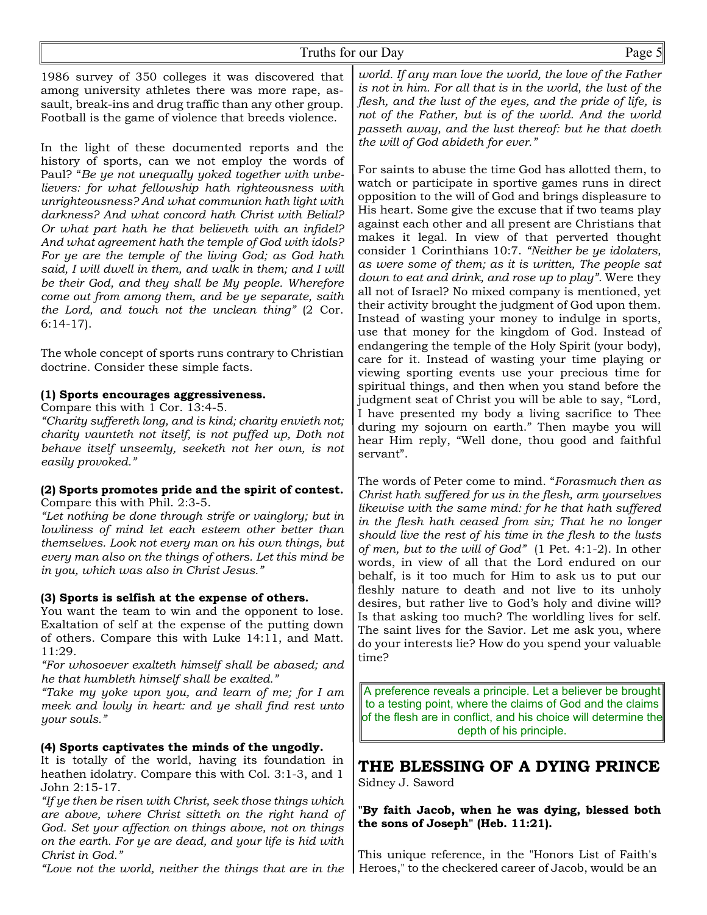1986 survey of 350 colleges it was discovered that among university athletes there was more rape, assault, break-ins and drug traffic than any other group. Football is the game of violence that breeds violence.

In the light of these documented reports and the history of sports, can we not employ the words of Paul? "*Be ye not unequally yoked together with unbelievers: for what fellowship hath righteousness with unrighteousness? And what communion hath light with darkness? And what concord hath Christ with Belial? Or what part hath he that believeth with an infidel? And what agreement hath the temple of God with idols? For ye are the temple of the living God; as God hath said, I will dwell in them, and walk in them; and I will be their God, and they shall be My people. Wherefore come out from among them, and be ye separate, saith the Lord, and touch not the unclean thing"* (2 Cor. 6:14-17).

The whole concept of sports runs contrary to Christian doctrine. Consider these simple facts.

## **(1) Sports encourages aggressiveness.**

Compare this with 1 Cor. 13:4-5.

*"Charity suffereth long, and is kind; charity envieth not; charity vaunteth not itself, is not puffed up, Doth not behave itself unseemly, seeketh not her own, is not easily provoked."*

#### **(2) Sports promotes pride and the spirit of contest.** Compare this with Phil. 2:3-5.

*"Let nothing be done through strife or vainglory; but in lowliness of mind let each esteem other better than themselves. Look not every man on his own things, but every man also on the things of others. Let this mind be in you, which was also in Christ Jesus."*

## **(3) Sports is selfish at the expense of others.**

You want the team to win and the opponent to lose. Exaltation of self at the expense of the putting down of others. Compare this with Luke 14:11, and Matt. 11:29.

*"For whosoever exalteth himself shall be abased; and he that humbleth himself shall be exalted."*

*"Take my yoke upon you, and learn of me; for I am meek and lowly in heart: and ye shall find rest unto your souls."*

## **(4) Sports captivates the minds of the ungodly.**

It is totally of the world, having its foundation in heathen idolatry. Compare this with Col. 3:1-3, and 1 John 2:15-17.

*"If ye then be risen with Christ, seek those things which are above, where Christ sitteth on the right hand of God. Set your affection on things above, not on things on the earth. For ye are dead, and your life is hid with Christ in God."*

*"Love not the world, neither the things that are in the* Heroes," to the checkered career of Jacob, would be an

*world. If any man love the world, the love of the Father is not in him. For all that is in the world, the lust of the flesh, and the lust of the eyes, and the pride of life, is not of the Father, but is of the world. And the world passeth away, and the lust thereof: but he that doeth the will of God abideth for ever."*

For saints to abuse the time God has allotted them, to watch or participate in sportive games runs in direct opposition to the will of God and brings displeasure to His heart. Some give the excuse that if two teams play against each other and all present are Christians that makes it legal. In view of that perverted thought consider 1 Corinthians 10:7. *"Neither be ye idolaters, as were some of them; as it is written, The people sat down to eat and drink, and rose up to play".* Were they all not of Israel? No mixed company is mentioned, yet their activity brought the judgment of God upon them. Instead of wasting your money to indulge in sports, use that money for the kingdom of God. Instead of endangering the temple of the Holy Spirit (your body), care for it. Instead of wasting your time playing or viewing sporting events use your precious time for spiritual things, and then when you stand before the judgment seat of Christ you will be able to say, "Lord, I have presented my body a living sacrifice to Thee during my sojourn on earth." Then maybe you will hear Him reply, "Well done, thou good and faithful servant".

The words of Peter come to mind. "*Forasmuch then as Christ hath suffered for us in the flesh, arm yourselves likewise with the same mind: for he that hath suffered in the flesh hath ceased from sin; That he no longer should live the rest of his time in the flesh to the lusts of men, but to the will of God"* (1 Pet. 4:1-2). In other words, in view of all that the Lord endured on our behalf, is it too much for Him to ask us to put our fleshly nature to death and not live to its unholy desires, but rather live to God's holy and divine will? Is that asking too much? The worldling lives for self. The saint lives for the Savior. Let me ask you, where do your interests lie? How do you spend your valuable time?

A preference reveals a principle. Let a believer be brought to a testing point, where the claims of God and the claims of the flesh are in conflict, and his choice will determine the depth of his principle.

## **THE BLESSING OF A DYING PRINCE** Sidney J. Saword

**"By faith Jacob, when he was dying, blessed both the sons of Joseph" (Heb. 11:21).**

This unique reference, in the "Honors List of Faith's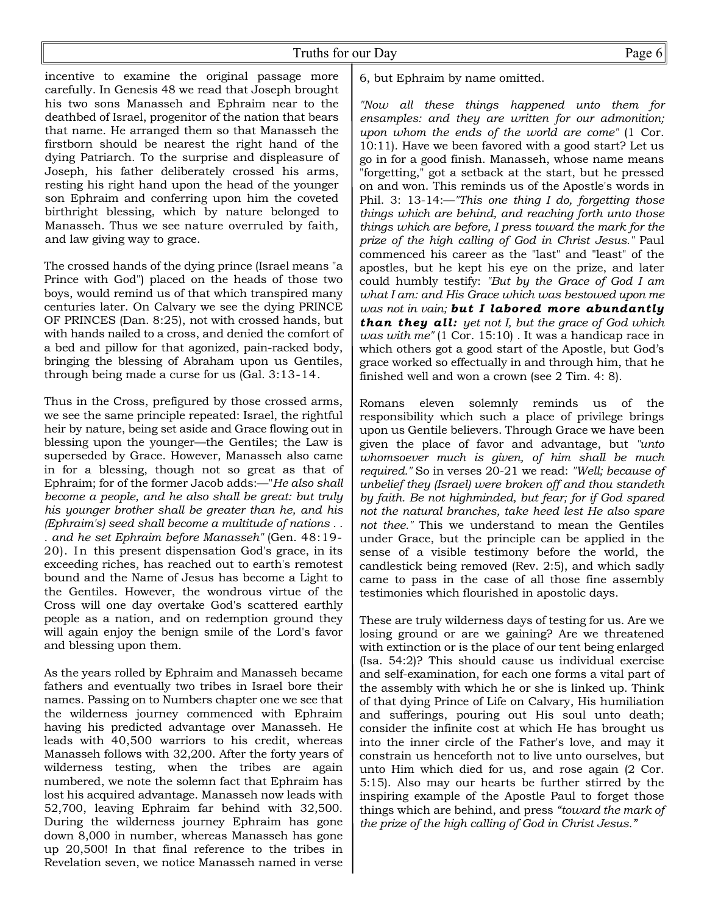### Truths for our Day Page 6

incentive to examine the original passage more carefully. In Genesis 48 we read that Joseph brought his two sons Manasseh and Ephraim near to the deathbed of Israel, progenitor of the nation that bears that name. He arranged them so that Manasseh the firstborn should be nearest the right hand of the dying Patriarch. To the surprise and displeasure of Joseph, his father deliberately crossed his arms, resting his right hand upon the head of the younger son Ephraim and conferring upon him the coveted birthright blessing, which by nature belonged to Manasseh. Thus we see nature overruled by faith*,* and law giving way to grace.

The crossed hands of the dying prince (Israel means "a Prince with God") placed on the heads of those two boys, would remind us of that which transpired many centuries later. On Calvary we see the dying PRINCE OF PRINCES (Dan. 8:25), not with crossed hands, but with hands nailed to a cross, and denied the comfort of a bed and pillow for that agonized, pain-racked body, bringing the blessing of Abraham upon us Gentiles, through being made a curse for us (Gal. 3:13-14.

Thus in the Cross, prefigured by those crossed arms, we see the same principle repeated: Israel, the rightful heir by nature, being set aside and Grace flowing out in blessing upon the younger—the Gentiles; the Law is superseded by Grace. However, Manasseh also came in for a blessing, though not so great as that of Ephraim; for of the former Jacob adds:—"*He also shall become a people, and he also shall be great: but truly his younger brother shall be greater than he, and his (Ephraim's) seed shall become a multitude of nations . . . and he set Ephraim before Manasseh"* (Gen. 48:19- 20). In this present dispensation God's grace, in its exceeding riches, has reached out to earth's remotest bound and the Name of Jesus has become a Light to the Gentiles. However, the wondrous virtue of the Cross will one day overtake God's scattered earthly people as a nation, and on redemption ground they will again enjoy the benign smile of the Lord's favor and blessing upon them.

As the years rolled by Ephraim and Manasseh became fathers and eventually two tribes in Israel bore their names. Passing on to Numbers chapter one we see that the wilderness journey commenced with Ephraim having his predicted advantage over Manasseh. He leads with 40,500 warriors to his credit, whereas Manasseh follows with 32,200. After the forty years of wilderness testing, when the tribes are again numbered, we note the solemn fact that Ephraim has lost his acquired advantage. Manasseh now leads with 52,700, leaving Ephraim far behind with 32,500. During the wilderness journey Ephraim has gone down 8,000 in number, whereas Manasseh has gone up 20,500! In that final reference to the tribes in Revelation seven, we notice Manasseh named in verse

6, but Ephraim by name omitted.

*"Now all these things happened unto them for ensamples: and they are written for our admonition; upon whom the ends of the world are come"* (1 Cor. 10:11). Have we been favored with a good start? Let us go in for a good finish. Manasseh, whose name means "forgetting," got a setback at the start, but he pressed on and won. This reminds us of the Apostle's words in Phil. 3: 13-14:—*"This one thing I do, forgetting those things which are behind, and reaching forth unto those things which are before, I press toward the mark for the prize of the high calling of God in Christ Jesus."* Paul commenced his career as the "last" and "least" of the apostles, but he kept his eye on the prize, and later could humbly testify: *"But by the Grace of God I am what I am: and His Grace which was bestowed upon me was not in vain; but I labored more abundantly than they all: yet not I, but the grace of God which was with me"* (1 Cor. 15:10) . It was a handicap race in which others got a good start of the Apostle, but God's grace worked so effectually in and through him, that he finished well and won a crown (see 2 Tim. 4: 8).

Romans eleven solemnly reminds us of the responsibility which such a place of privilege brings upon us Gentile believers. Through Grace we have been given the place of favor and advantage, but *"unto whomsoever much is given, of him shall be much required."* So in verses 20-21 we read: *"Well; because of unbelief they (Israel) were broken off and thou standeth by faith. Be not highminded, but fear; for if God spared not the natural branches, take heed lest He also spare not thee."* This we understand to mean the Gentiles under Grace, but the principle can be applied in the sense of a visible testimony before the world, the candlestick being removed (Rev. 2:5), and which sadly came to pass in the case of all those fine assembly testimonies which flourished in apostolic days.

These are truly wilderness days of testing for us. Are we losing ground or are we gaining? Are we threatened with extinction or is the place of our tent being enlarged (Isa. 54:2)? This should cause us individual exercise and self-examination, for each one forms a vital part of the assembly with which he or she is linked up. Think of that dying Prince of Life on Calvary, His humiliation and sufferings, pouring out His soul unto death; consider the infinite cost at which He has brought us into the inner circle of the Father's love, and may it constrain us henceforth not to live unto ourselves, but unto Him which died for us, and rose again (2 Cor. 5:15). Also may our hearts be further stirred by the inspiring example of the Apostle Paul to forget those things which are behind, and press *"toward the mark of the prize of the high calling of God in Christ Jesus."*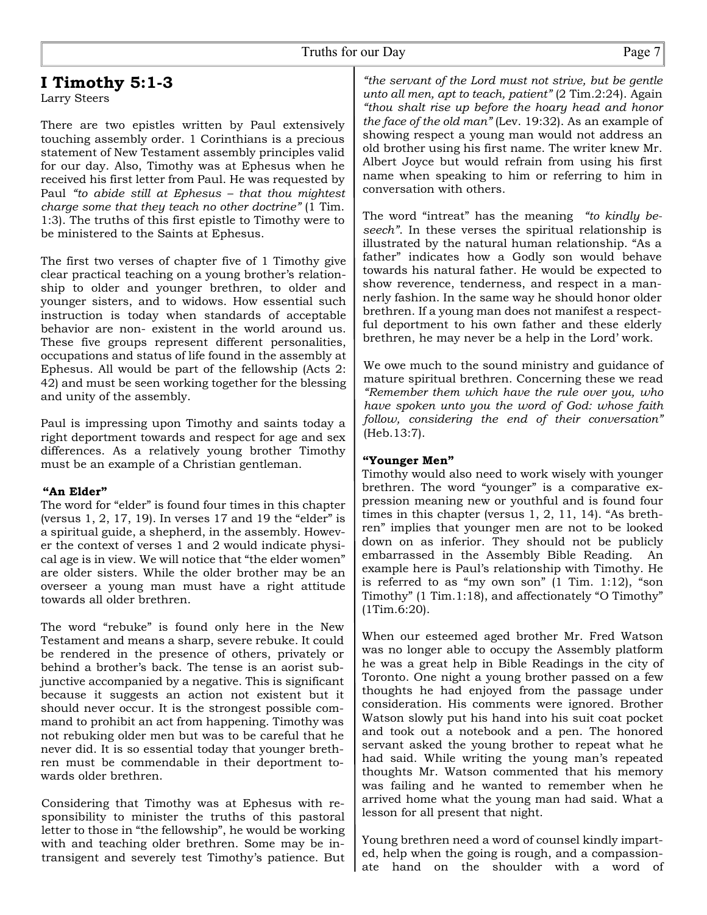# **I Timothy 5:1-3**

Larry Steers

There are two epistles written by Paul extensively touching assembly order. 1 Corinthians is a precious statement of New Testament assembly principles valid for our day. Also, Timothy was at Ephesus when he received his first letter from Paul. He was requested by Paul *"to abide still at Ephesus – that thou mightest charge some that they teach no other doctrine"* (1 Tim. 1:3). The truths of this first epistle to Timothy were to be ministered to the Saints at Ephesus.

The first two verses of chapter five of 1 Timothy give clear practical teaching on a young brother's relationship to older and younger brethren, to older and younger sisters, and to widows. How essential such instruction is today when standards of acceptable behavior are non- existent in the world around us. These five groups represent different personalities, occupations and status of life found in the assembly at Ephesus. All would be part of the fellowship (Acts 2: 42) and must be seen working together for the blessing and unity of the assembly.

Paul is impressing upon Timothy and saints today a right deportment towards and respect for age and sex differences. As a relatively young brother Timothy must be an example of a Christian gentleman.

#### **"An Elder"**

The word for "elder" is found four times in this chapter (versus 1, 2, 17, 19). In verses 17 and 19 the "elder" is a spiritual guide, a shepherd, in the assembly. However the context of verses 1 and 2 would indicate physical age is in view. We will notice that "the elder women" are older sisters. While the older brother may be an overseer a young man must have a right attitude towards all older brethren.

The word "rebuke" is found only here in the New Testament and means a sharp, severe rebuke. It could be rendered in the presence of others, privately or behind a brother's back. The tense is an aorist subjunctive accompanied by a negative. This is significant because it suggests an action not existent but it should never occur. It is the strongest possible command to prohibit an act from happening. Timothy was not rebuking older men but was to be careful that he never did. It is so essential today that younger brethren must be commendable in their deportment towards older brethren.

Considering that Timothy was at Ephesus with responsibility to minister the truths of this pastoral letter to those in "the fellowship", he would be working with and teaching older brethren. Some may be intransigent and severely test Timothy's patience. But

*"the servant of the Lord must not strive, but be gentle unto all men, apt to teach, patient"* (2 Tim.2:24). Again *"thou shalt rise up before the hoary head and honor the face of the old man"* (Lev. 19:32). As an example of showing respect a young man would not address an old brother using his first name. The writer knew Mr. Albert Joyce but would refrain from using his first name when speaking to him or referring to him in conversation with others.

The word "intreat" has the meaning *"to kindly beseech"*. In these verses the spiritual relationship is illustrated by the natural human relationship. "As a father" indicates how a Godly son would behave towards his natural father. He would be expected to show reverence, tenderness, and respect in a mannerly fashion. In the same way he should honor older brethren. If a young man does not manifest a respectful deportment to his own father and these elderly brethren, he may never be a help in the Lord' work.

We owe much to the sound ministry and guidance of mature spiritual brethren. Concerning these we read *"Remember them which have the rule over you, who have spoken unto you the word of God: whose faith follow, considering the end of their conversation"* (Heb.13:7).

#### **"Younger Men"**

Timothy would also need to work wisely with younger brethren. The word "younger" is a comparative expression meaning new or youthful and is found four times in this chapter (versus 1, 2, 11, 14). "As brethren" implies that younger men are not to be looked down on as inferior. They should not be publicly embarrassed in the Assembly Bible Reading. An example here is Paul's relationship with Timothy. He is referred to as "my own son"  $(1 \text{ Tim. } 1:12)$ , "son Timothy" (1 Tim.1:18), and affectionately "O Timothy" (1Tim.6:20).

When our esteemed aged brother Mr. Fred Watson was no longer able to occupy the Assembly platform he was a great help in Bible Readings in the city of Toronto. One night a young brother passed on a few thoughts he had enjoyed from the passage under consideration. His comments were ignored. Brother Watson slowly put his hand into his suit coat pocket and took out a notebook and a pen. The honored servant asked the young brother to repeat what he had said. While writing the young man's repeated thoughts Mr. Watson commented that his memory was failing and he wanted to remember when he arrived home what the young man had said. What a lesson for all present that night.

Young brethren need a word of counsel kindly imparted, help when the going is rough, and a compassionate hand on the shoulder with a word of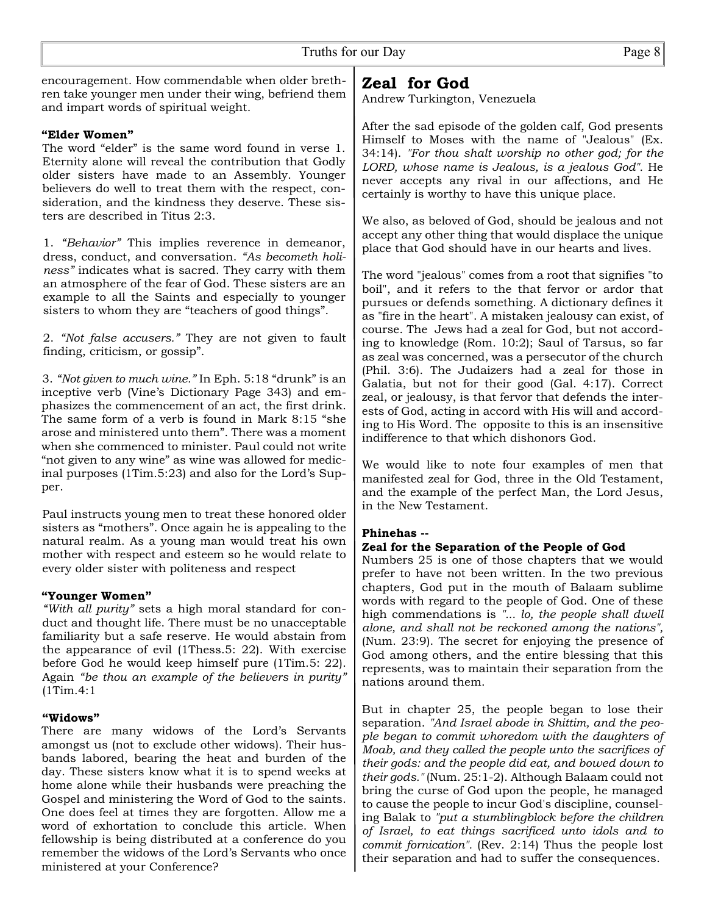encouragement. How commendable when older brethren take younger men under their wing, befriend them and impart words of spiritual weight.

#### **"Elder Women"**

The word "elder" is the same word found in verse 1. Eternity alone will reveal the contribution that Godly older sisters have made to an Assembly. Younger believers do well to treat them with the respect, consideration, and the kindness they deserve. These sisters are described in Titus 2:3.

1. *"Behavior"* This implies reverence in demeanor, dress, conduct, and conversation. *"As becometh holiness"* indicates what is sacred. They carry with them an atmosphere of the fear of God. These sisters are an example to all the Saints and especially to younger sisters to whom they are "teachers of good things".

2. *"Not false accusers."* They are not given to fault finding, criticism, or gossip".

3. *"Not given to much wine."* In Eph. 5:18 "drunk" is an inceptive verb (Vine's Dictionary Page 343) and emphasizes the commencement of an act, the first drink. The same form of a verb is found in Mark 8:15 "she arose and ministered unto them". There was a moment when she commenced to minister. Paul could not write "not given to any wine" as wine was allowed for medicinal purposes (1Tim.5:23) and also for the Lord's Supper.

Paul instructs young men to treat these honored older sisters as "mothers". Once again he is appealing to the natural realm. As a young man would treat his own mother with respect and esteem so he would relate to every older sister with politeness and respect

#### **"Younger Women"**

*"With all purity"* sets a high moral standard for conduct and thought life. There must be no unacceptable familiarity but a safe reserve. He would abstain from the appearance of evil (1Thess.5: 22). With exercise before God he would keep himself pure (1Tim.5: 22). Again *"be thou an example of the believers in purity"* (1Tim.4:1

#### **"Widows"**

There are many widows of the Lord's Servants amongst us (not to exclude other widows). Their husbands labored, bearing the heat and burden of the day. These sisters know what it is to spend weeks at home alone while their husbands were preaching the Gospel and ministering the Word of God to the saints. One does feel at times they are forgotten. Allow me a word of exhortation to conclude this article. When fellowship is being distributed at a conference do you remember the widows of the Lord's Servants who once ministered at your Conference?

# **Zeal for God**

Andrew Turkington, Venezuela

After the sad episode of the golden calf, God presents Himself to Moses with the name of "Jealous" (Ex. 34:14). *"For thou shalt worship no other god; for the LORD, whose name is Jealous, is a jealous God".* He never accepts any rival in our affections, and He certainly is worthy to have this unique place.

We also, as beloved of God, should be jealous and not accept any other thing that would displace the unique place that God should have in our hearts and lives.

The word "jealous" comes from a root that signifies "to boil", and it refers to the that fervor or ardor that pursues or defends something. A dictionary defines it as "fire in the heart". A mistaken jealousy can exist, of course. The Jews had a zeal for God, but not according to knowledge (Rom. 10:2); Saul of Tarsus, so far as zeal was concerned, was a persecutor of the church (Phil. 3:6). The Judaizers had a zeal for those in Galatia, but not for their good (Gal. 4:17). Correct zeal, or jealousy, is that fervor that defends the interests of God, acting in accord with His will and according to His Word. The opposite to this is an insensitive indifference to that which dishonors God.

We would like to note four examples of men that manifested zeal for God, three in the Old Testament, and the example of the perfect Man, the Lord Jesus, in the New Testament.

#### **Phinehas --**

#### **Zeal for the Separation of the People of God**

Numbers 25 is one of those chapters that we would prefer to have not been written. In the two previous chapters, God put in the mouth of Balaam sublime words with regard to the people of God. One of these high commendations is *"... lo, the people shall dwell alone, and shall not be reckoned among the nations",* (Num. 23:9). The secret for enjoying the presence of God among others, and the entire blessing that this represents, was to maintain their separation from the nations around them.

But in chapter 25, the people began to lose their separation. *"And Israel abode in Shittim, and the people began to commit whoredom with the daughters of Moab, and they called the people unto the sacrifices of their gods: and the people did eat, and bowed down to their gods."* (Num. 25:1-2). Although Balaam could not bring the curse of God upon the people, he managed to cause the people to incur God's discipline, counseling Balak to *"put a stumblingblock before the children of Israel, to eat things sacrificed unto idols and to commit fornication".* (Rev. 2:14) Thus the people lost their separation and had to suffer the consequences.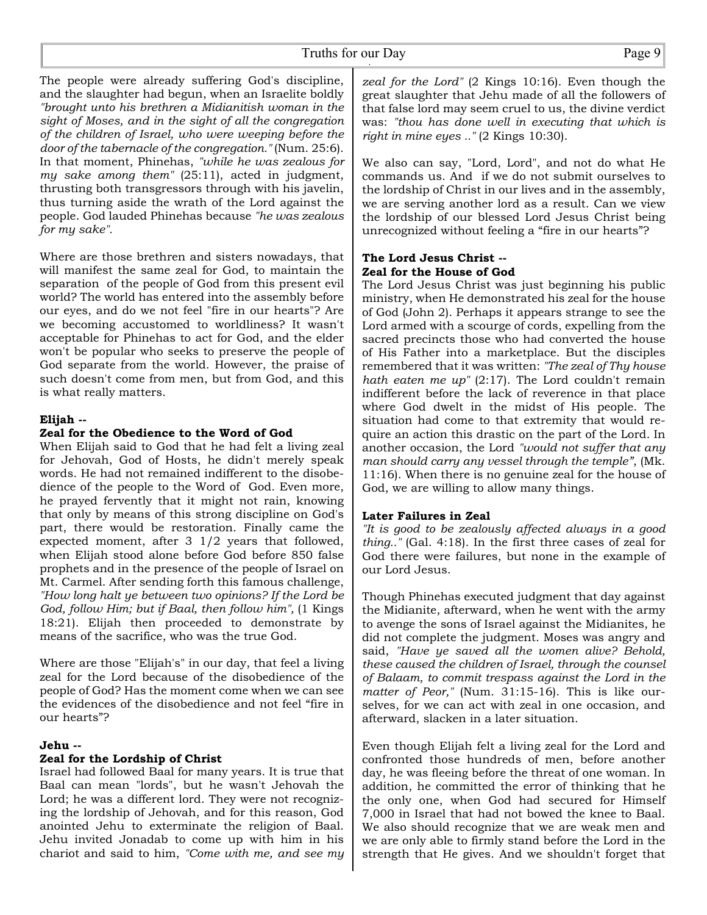The people were already suffering God's discipline, and the slaughter had begun, when an Israelite boldly *"brought unto his brethren a Midianitish woman in the sight of Moses, and in the sight of all the congregation of the children of Israel, who were weeping before the door of the tabernacle of the congregation."* (Num. 25:6). In that moment, Phinehas, *"while he was zealous for my sake among them"* (25:11), acted in judgment, thrusting both transgressors through with his javelin, thus turning aside the wrath of the Lord against the people. God lauded Phinehas because *"he was zealous for my sake".*

Where are those brethren and sisters nowadays, that will manifest the same zeal for God, to maintain the separation of the people of God from this present evil world? The world has entered into the assembly before our eyes, and do we not feel "fire in our hearts"? Are we becoming accustomed to worldliness? It wasn't acceptable for Phinehas to act for God, and the elder won't be popular who seeks to preserve the people of God separate from the world. However, the praise of such doesn't come from men, but from God, and this is what really matters.

#### **Elijah --**

#### **Zeal for the Obedience to the Word of God**

When Elijah said to God that he had felt a living zeal for Jehovah, God of Hosts, he didn't merely speak words. He had not remained indifferent to the disobedience of the people to the Word of God. Even more, he prayed fervently that it might not rain, knowing that only by means of this strong discipline on God's part, there would be restoration. Finally came the expected moment, after 3 1/2 years that followed, when Elijah stood alone before God before 850 false prophets and in the presence of the people of Israel on Mt. Carmel. After sending forth this famous challenge, *"How long halt ye between two opinions? If the Lord be God, follow Him; but if Baal, then follow him",* (1 Kings 18:21). Elijah then proceeded to demonstrate by means of the sacrifice, who was the true God.

Where are those "Elijah's" in our day, that feel a living zeal for the Lord because of the disobedience of the people of God? Has the moment come when we can see the evidences of the disobedience and not feel "fire in our hearts"?

#### **Jehu --**

#### **Zeal for the Lordship of Christ**

Israel had followed Baal for many years. It is true that Baal can mean "lords", but he wasn't Jehovah the Lord; he was a different lord. They were not recognizing the lordship of Jehovah, and for this reason, God anointed Jehu to exterminate the religion of Baal. Jehu invited Jonadab to come up with him in his chariot and said to him, *"Come with me, and see my*

*zeal for the Lord"* (2 Kings 10:16). Even though the great slaughter that Jehu made of all the followers of that false lord may seem cruel to us, the divine verdict was: *"thou has done well in executing that which is right in mine eyes .."* (2 Kings 10:30).

We also can say, "Lord, Lord", and not do what He commands us. And if we do not submit ourselves to the lordship of Christ in our lives and in the assembly, we are serving another lord as a result. Can we view the lordship of our blessed Lord Jesus Christ being unrecognized without feeling a "fire in our hearts"?

#### **The Lord Jesus Christ -- Zeal for the House of God**

The Lord Jesus Christ was just beginning his public ministry, when He demonstrated his zeal for the house of God (John 2). Perhaps it appears strange to see the Lord armed with a scourge of cords, expelling from the sacred precincts those who had converted the house of His Father into a marketplace. But the disciples remembered that it was written: *"The zeal of Thy house hath eaten me up"* (2:17). The Lord couldn't remain indifferent before the lack of reverence in that place where God dwelt in the midst of His people. The situation had come to that extremity that would require an action this drastic on the part of the Lord. In another occasion, the Lord *"would not suffer that any man should carry any vessel through the temple"*, (Mk. 11:16). When there is no genuine zeal for the house of God, we are willing to allow many things.

#### **Later Failures in Zeal**

*"It is good to be zealously affected always in a good thing.."* (Gal. 4:18). In the first three cases of zeal for God there were failures, but none in the example of our Lord Jesus.

Though Phinehas executed judgment that day against the Midianite, afterward, when he went with the army to avenge the sons of Israel against the Midianites, he did not complete the judgment. Moses was angry and said, *"Have ye saved all the women alive? Behold, these caused the children of Israel, through the counsel of Balaam, to commit trespass against the Lord in the matter of Peor,"* (Num. 31:15-16). This is like ourselves, for we can act with zeal in one occasion, and afterward, slacken in a later situation.

Even though Elijah felt a living zeal for the Lord and confronted those hundreds of men, before another day, he was fleeing before the threat of one woman. In addition, he committed the error of thinking that he the only one, when God had secured for Himself 7,000 in Israel that had not bowed the knee to Baal. We also should recognize that we are weak men and we are only able to firmly stand before the Lord in the strength that He gives. And we shouldn't forget that